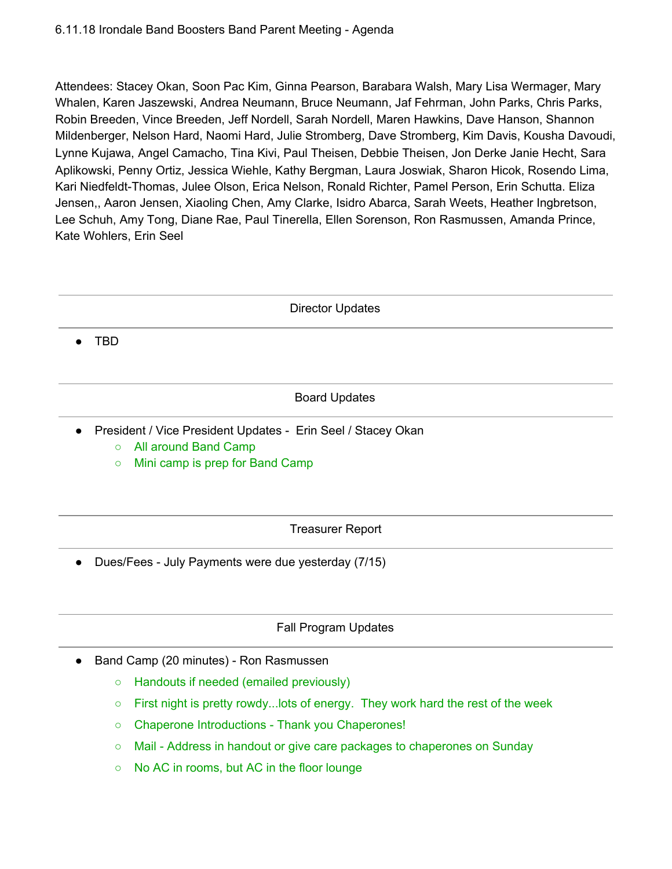Attendees: Stacey Okan, Soon Pac Kim, Ginna Pearson, Barabara Walsh, Mary Lisa Wermager, Mary Whalen, Karen Jaszewski, Andrea Neumann, Bruce Neumann, Jaf Fehrman, John Parks, Chris Parks, Robin Breeden, Vince Breeden, Jeff Nordell, Sarah Nordell, Maren Hawkins, Dave Hanson, Shannon Mildenberger, Nelson Hard, Naomi Hard, Julie Stromberg, Dave Stromberg, Kim Davis, Kousha Davoudi, Lynne Kujawa, Angel Camacho, Tina Kivi, Paul Theisen, Debbie Theisen, Jon Derke Janie Hecht, Sara Aplikowski, Penny Ortiz, Jessica Wiehle, Kathy Bergman, Laura Joswiak, Sharon Hicok, Rosendo Lima, Kari Niedfeldt-Thomas, Julee Olson, Erica Nelson, Ronald Richter, Pamel Person, Erin Schutta. Eliza Jensen,, Aaron Jensen, Xiaoling Chen, Amy Clarke, Isidro Abarca, Sarah Weets, Heather Ingbretson, Lee Schuh, Amy Tong, Diane Rae, Paul Tinerella, Ellen Sorenson, Ron Rasmussen, Amanda Prince, Kate Wohlers, Erin Seel

Director Updates

● TBD

### Board Updates

- President / Vice President Updates Erin Seel / Stacey Okan
	- All around Band Camp
	- Mini camp is prep for Band Camp

Treasurer Report

● Dues/Fees - July Payments were due yesterday (7/15)

## Fall Program Updates

- Band Camp (20 minutes) Ron Rasmussen
	- Handouts if needed (emailed previously)
	- $\circ$  First night is pretty rowdy... lots of energy. They work hard the rest of the week
	- Chaperone Introductions Thank you Chaperones!
	- Mail Address in handout or give care packages to chaperones on Sunday
	- No AC in rooms, but AC in the floor lounge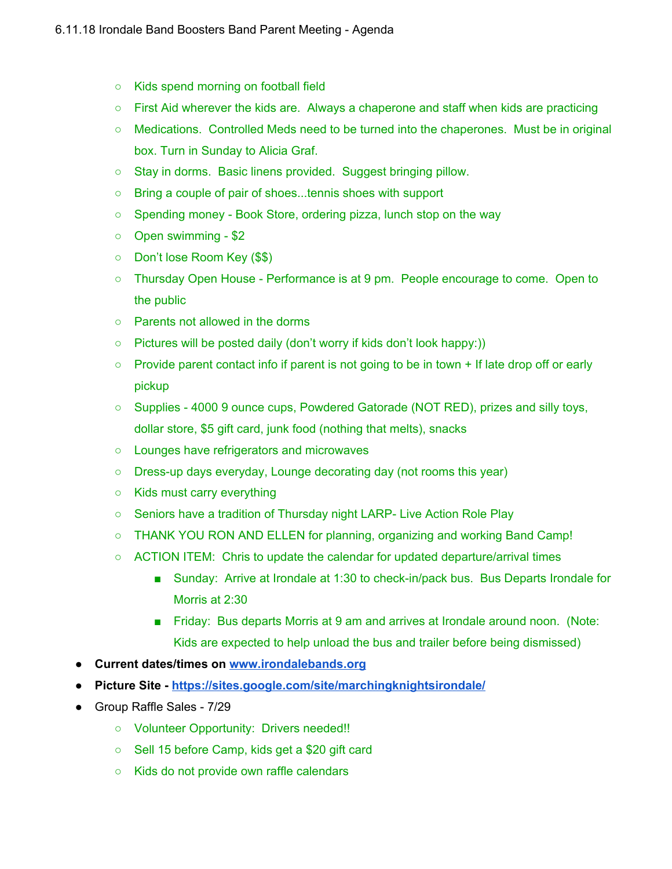- Kids spend morning on football field
- First Aid wherever the kids are. Always a chaperone and staff when kids are practicing
- Medications. Controlled Meds need to be turned into the chaperones. Must be in original box. Turn in Sunday to Alicia Graf.
- Stay in dorms. Basic linens provided. Suggest bringing pillow.
- Bring a couple of pair of shoes...tennis shoes with support
- Spending money Book Store, ordering pizza, lunch stop on the way
- Open swimming \$2
- Don't lose Room Key (\$\$)
- Thursday Open House Performance is at 9 pm. People encourage to come. Open to the public
- Parents not allowed in the dorms
- Pictures will be posted daily (don't worry if kids don't look happy:))
- $\circ$  Provide parent contact info if parent is not going to be in town + If late drop off or early pickup
- Supplies 4000 9 ounce cups, Powdered Gatorade (NOT RED), prizes and silly toys, dollar store, \$5 gift card, junk food (nothing that melts), snacks
- Lounges have refrigerators and microwaves
- Dress-up days everyday, Lounge decorating day (not rooms this year)
- Kids must carry everything
- Seniors have a tradition of Thursday night LARP- Live Action Role Play
- THANK YOU RON AND ELLEN for planning, organizing and working Band Camp!
- ACTION ITEM: Chris to update the calendar for updated departure/arrival times
	- Sunday: Arrive at Irondale at 1:30 to check-in/pack bus. Bus Departs Irondale for Morris at 2:30
	- Friday: Bus departs Morris at 9 am and arrives at Irondale around noon. (Note: Kids are expected to help unload the bus and trailer before being dismissed)
- **● Current dates/times on [www.irondalebands.org](http://www.irondalebands.org/)**
- **● Picture Site - <https://sites.google.com/site/marchingknightsirondale/>**
- Group Raffle Sales 7/29
	- Volunteer Opportunity: Drivers needed!!
	- Sell 15 before Camp, kids get a \$20 gift card
	- Kids do not provide own raffle calendars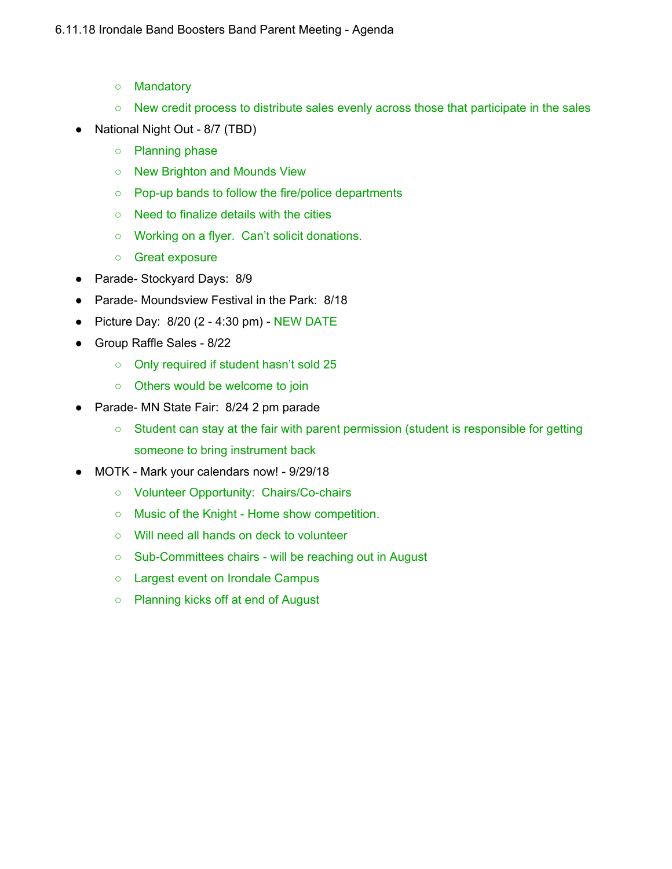- Mandatory
- New credit process to distribute sales evenly across those that participate in the sales
- National Night Out 8/7 (TBD)
	- Planning phase
	- New Brighton and Mounds View
	- Pop-up bands to follow the fire/police departments
	- Need to finalize details with the cities
	- Working on a flyer. Can't solicit donations.
	- Great exposure
- Parade- Stockyard Days: 8/9
- Parade- Moundsview Festival in the Park: 8/18
- Picture Day: 8/20 (2 4:30 pm) NEW DATE
- Group Raffle Sales 8/22
	- Only required if student hasn't sold 25
	- Others would be welcome to join
- Parade- MN State Fair: 8/24 2 pm parade
	- Student can stay at the fair with parent permission (student is responsible for getting someone to bring instrument back
- MOTK Mark your calendars now! 9/29/18
	- Volunteer Opportunity: Chairs/Co-chairs
	- Music of the Knight Home show competition.
	- Will need all hands on deck to volunteer
	- Sub-Committees chairs will be reaching out in August
	- Largest event on Irondale Campus
	- Planning kicks off at end of August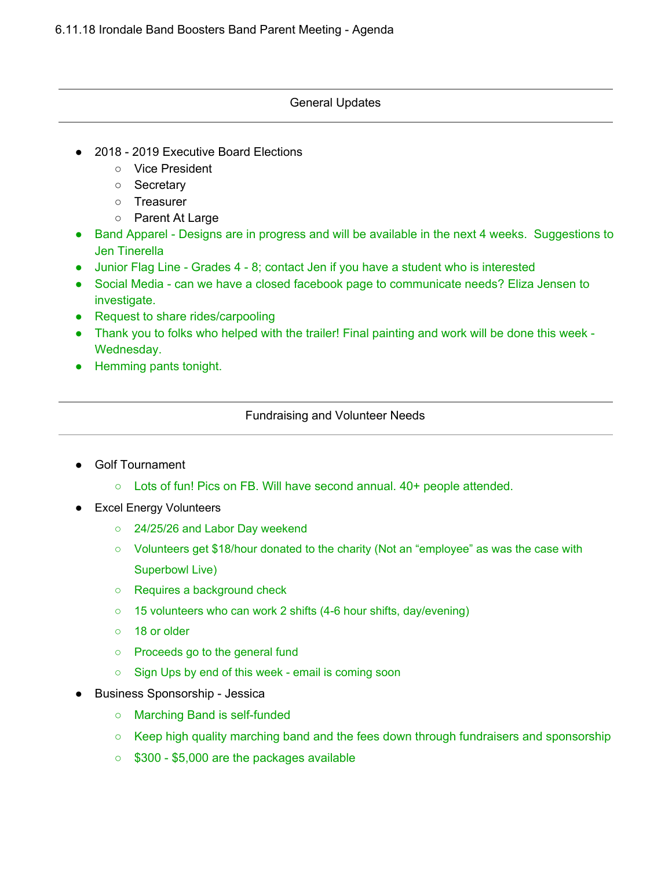### General Updates

- 2018 2019 Executive Board Elections
	- Vice President
	- Secretary
	- Treasurer
	- Parent At Large
- Band Apparel Designs are in progress and will be available in the next 4 weeks. Suggestions to Jen Tinerella
- Junior Flag Line Grades 4 8; contact Jen if you have a student who is interested
- Social Media can we have a closed facebook page to communicate needs? Eliza Jensen to investigate.
- Request to share rides/carpooling
- Thank you to folks who helped with the trailer! Final painting and work will be done this week -Wednesday.
- Hemming pants tonight.

## Fundraising and Volunteer Needs

- **Golf Tournament** 
	- Lots of fun! Pics on FB. Will have second annual. 40+ people attended.
- **Excel Energy Volunteers** 
	- 24/25/26 and Labor Day weekend
	- Volunteers get \$18/hour donated to the charity (Not an "employee" as was the case with Superbowl Live)
	- Requires a background check
	- 15 volunteers who can work 2 shifts (4-6 hour shifts, day/evening)
	- 18 or older
	- Proceeds go to the general fund
	- Sign Ups by end of this week email is coming soon
- Business Sponsorship Jessica
	- Marching Band is self-funded
	- Keep high quality marching band and the fees down through fundraisers and sponsorship
	- \$300 \$5,000 are the packages available